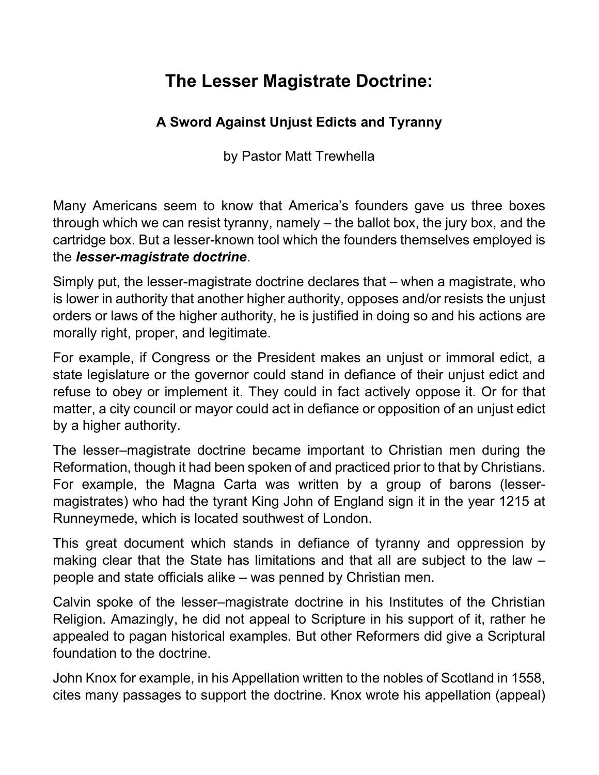## The Lesser Magistrate Doctrine:

## A Sword Against Unjust Edicts and Tyranny

by Pastor Matt Trewhella

Many Americans seem to know that America's founders gave us three boxes through which we can resist tyranny, namely – the ballot box, the jury box, and the cartridge box. But a lesser-known tool which the founders themselves employed is the lesser-magistrate doctrine.

Simply put, the lesser-magistrate doctrine declares that – when a magistrate, who is lower in authority that another higher authority, opposes and/or resists the unjust orders or laws of the higher authority, he is justified in doing so and his actions are morally right, proper, and legitimate.

For example, if Congress or the President makes an unjust or immoral edict, a state legislature or the governor could stand in defiance of their unjust edict and refuse to obey or implement it. They could in fact actively oppose it. Or for that matter, a city council or mayor could act in defiance or opposition of an unjust edict by a higher authority.

The lesser–magistrate doctrine became important to Christian men during the Reformation, though it had been spoken of and practiced prior to that by Christians. For example, the Magna Carta was written by a group of barons (lessermagistrates) who had the tyrant King John of England sign it in the year 1215 at Runneymede, which is located southwest of London.

This great document which stands in defiance of tyranny and oppression by making clear that the State has limitations and that all are subject to the law – people and state officials alike – was penned by Christian men.

Calvin spoke of the lesser–magistrate doctrine in his Institutes of the Christian Religion. Amazingly, he did not appeal to Scripture in his support of it, rather he appealed to pagan historical examples. But other Reformers did give a Scriptural foundation to the doctrine.

John Knox for example, in his Appellation written to the nobles of Scotland in 1558, cites many passages to support the doctrine. Knox wrote his appellation (appeal)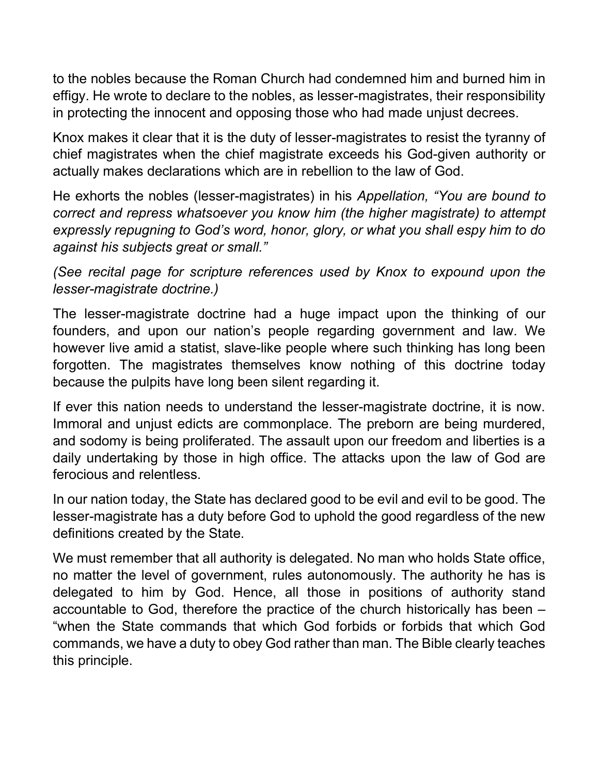to the nobles because the Roman Church had condemned him and burned him in effigy. He wrote to declare to the nobles, as lesser-magistrates, their responsibility in protecting the innocent and opposing those who had made unjust decrees.

Knox makes it clear that it is the duty of lesser-magistrates to resist the tyranny of chief magistrates when the chief magistrate exceeds his God-given authority or actually makes declarations which are in rebellion to the law of God.

He exhorts the nobles (lesser-magistrates) in his Appellation, "You are bound to correct and repress whatsoever you know him (the higher magistrate) to attempt expressly repugning to God's word, honor, glory, or what you shall espy him to do against his subjects great or small."

(See recital page for scripture references used by Knox to expound upon the lesser-magistrate doctrine.)

The lesser-magistrate doctrine had a huge impact upon the thinking of our founders, and upon our nation's people regarding government and law. We however live amid a statist, slave-like people where such thinking has long been forgotten. The magistrates themselves know nothing of this doctrine today because the pulpits have long been silent regarding it.

If ever this nation needs to understand the lesser-magistrate doctrine, it is now. Immoral and unjust edicts are commonplace. The preborn are being murdered, and sodomy is being proliferated. The assault upon our freedom and liberties is a daily undertaking by those in high office. The attacks upon the law of God are ferocious and relentless.

In our nation today, the State has declared good to be evil and evil to be good. The lesser-magistrate has a duty before God to uphold the good regardless of the new definitions created by the State.

We must remember that all authority is delegated. No man who holds State office, no matter the level of government, rules autonomously. The authority he has is delegated to him by God. Hence, all those in positions of authority stand accountable to God, therefore the practice of the church historically has been – "when the State commands that which God forbids or forbids that which God commands, we have a duty to obey God rather than man. The Bible clearly teaches this principle.